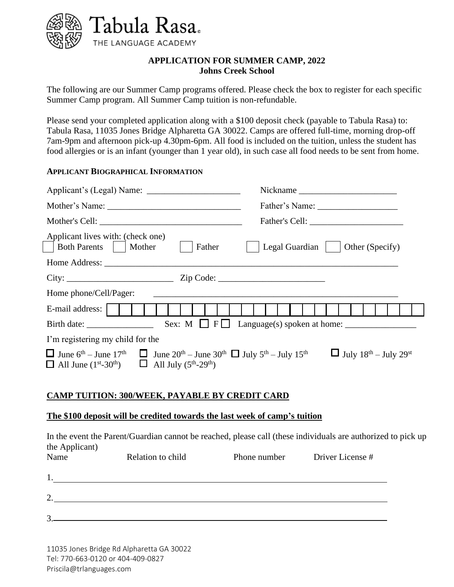

## **APPLICATION FOR SUMMER CAMP, 2022 Johns Creek School**

The following are our Summer Camp programs offered. Please check the box to register for each specific Summer Camp program. All Summer Camp tuition is non-refundable.

Please send your completed application along with a \$100 deposit check (payable to Tabula Rasa) to: Tabula Rasa, 11035 Jones Bridge Alpharetta GA 30022. Camps are offered full-time, morning drop-off 7am-9pm and afternoon pick-up 4.30pm-6pm. All food is included on the tuition, unless the student has food allergies or is an infant (younger than 1 year old), in such case all food needs to be sent from home.

## **APPLICANT BIOGRAPHICAL INFORMATION**

| Applicant lives with: (check one)<br>Both Parents     Mother<br>Father                                                                                                                                                                                                                                                            | Legal Guardian     Other (Specify) |  |
|-----------------------------------------------------------------------------------------------------------------------------------------------------------------------------------------------------------------------------------------------------------------------------------------------------------------------------------|------------------------------------|--|
|                                                                                                                                                                                                                                                                                                                                   |                                    |  |
|                                                                                                                                                                                                                                                                                                                                   |                                    |  |
| Home phone/Cell/Pager:<br><u> 1989 - Jan Barbara, margaret eta bat zen bat zen bat zen bat zen bat zen bat zen bat zen bat zen bat zen ba</u>                                                                                                                                                                                     |                                    |  |
| E-mail address:                                                                                                                                                                                                                                                                                                                   |                                    |  |
|                                                                                                                                                                                                                                                                                                                                   |                                    |  |
| I'm registering my child for the                                                                                                                                                                                                                                                                                                  |                                    |  |
| $\Box$ June 6 <sup>th</sup> – June 17 <sup>th</sup> $\Box$ June 20 <sup>th</sup> – June 30 <sup>th</sup> $\Box$ July 5 <sup>th</sup> – July 15 <sup>th</sup><br>$\Box$ July 18 <sup>th</sup> – July 29 <sup>st</sup><br>$\Box$ All June (1 <sup>st</sup> -30 <sup>th</sup> ) $\Box$ All July (5 <sup>th</sup> -29 <sup>th</sup> ) |                                    |  |

# **CAMP TUITION: 300/WEEK, PAYABLE BY CREDIT CARD**

### **The \$100 deposit will be credited towards the last week of camp's tuition**

In the event the Parent/Guardian cannot be reached, please call (these individuals are authorized to pick up the Applicant)

| Name              | Relation to child | Phone number | Driver License # |
|-------------------|-------------------|--------------|------------------|
|                   |                   |              |                  |
| ◠                 |                   |              |                  |
| $\mathbf{\Omega}$ |                   |              |                  |

11035 Jones Bridge Rd Alpharetta GA 30022 Tel: 770-663-0120 or 404-409-0827 Priscila@trlanguages.com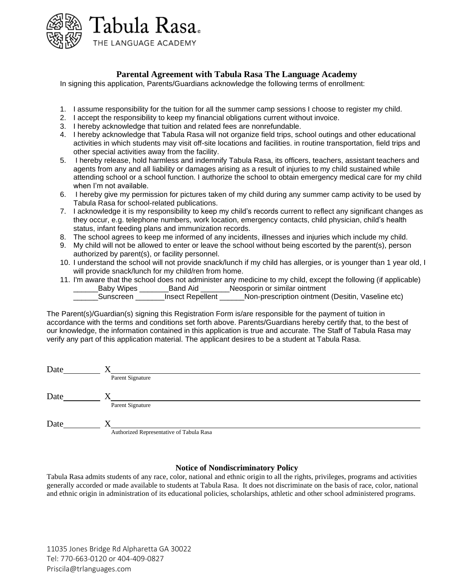

## **Parental Agreement with Tabula Rasa The Language Academy**

In signing this application, Parents/Guardians acknowledge the following terms of enrollment:

- 1. I assume responsibility for the tuition for all the summer camp sessions I choose to register my child.
- 2. I accept the responsibility to keep my financial obligations current without invoice.
- 3. I hereby acknowledge that tuition and related fees are nonrefundable.
- 4. I hereby acknowledge that Tabula Rasa will not organize field trips, school outings and other educational activities in which students may visit off-site locations and facilities. in routine transportation, field trips and other special activities away from the facility.
- 5. I hereby release, hold harmless and indemnify Tabula Rasa, its officers, teachers, assistant teachers and agents from any and all liability or damages arising as a result of injuries to my child sustained while attending school or a school function. I authorize the school to obtain emergency medical care for my child when I'm not available.
- 6. I hereby give my permission for pictures taken of my child during any summer camp activity to be used by Tabula Rasa for school-related publications.
- 7. I acknowledge it is my responsibility to keep my child's records current to reflect any significant changes as they occur, e.g. telephone numbers, work location, emergency contacts, child physician, child's health status, infant feeding plans and immunization records.
- 8. The school agrees to keep me informed of any incidents, illnesses and injuries which include my child.
- 9. My child will not be allowed to enter or leave the school without being escorted by the parent(s), person authorized by parent(s), or facility personnel.
- 10. I understand the school will not provide snack/lunch if my child has allergies, or is younger than 1 year old, I will provide snack/lunch for my child/ren from home.
- 11. I'm aware that the school does not administer any medicine to my child, except the following (if applicable) \_Baby Wipes \_\_\_\_\_\_\_\_Band Aid \_\_\_\_\_\_\_Neosporin or similar ointment \_\_\_\_\_\_Sunscreen \_\_\_\_\_\_\_Insect Repellent \_\_\_\_\_\_Non-prescription ointment (Desitin, Vaseline etc)

The Parent(s)/Guardian(s) signing this Registration Form is/are responsible for the payment of tuition in accordance with the terms and conditions set forth above. Parents/Guardians hereby certify that, to the best of our knowledge, the information contained in this application is true and accurate. The Staff of Tabula Rasa may verify any part of this application material. The applicant desires to be a student at Tabula Rasa.

| Date |                                          |
|------|------------------------------------------|
|      | Parent Signature                         |
| Date |                                          |
|      | Parent Signature                         |
|      |                                          |
| Date |                                          |
|      | Authorized Representative of Tabula Rasa |

#### **Notice of Nondiscriminatory Policy**

Tabula Rasa admits students of any race, color, national and ethnic origin to all the rights, privileges, programs and activities generally accorded or made available to students at Tabula Rasa. It does not discriminate on the basis of race, color, national and ethnic origin in administration of its educational policies, scholarships, athletic and other school administered programs.

11035 Jones Bridge Rd Alpharetta GA 30022 Tel: 770-663-0120 or 404-409-0827 Priscila@trlanguages.com